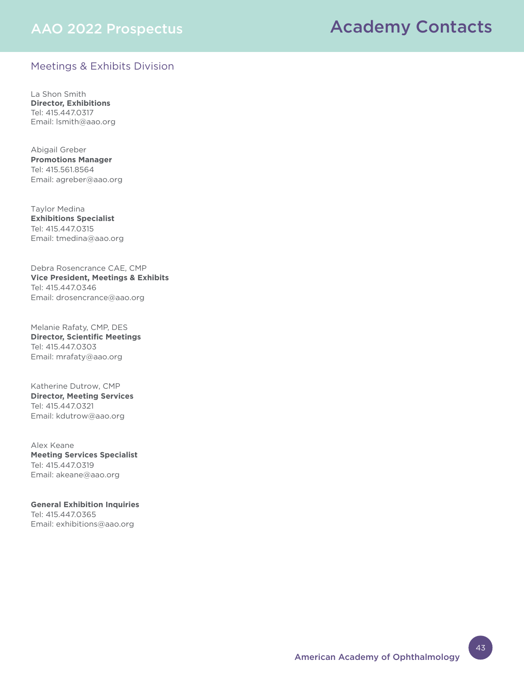## AAO 2022 Prospectus

# Academy Contacts

### Meetings & Exhibits Division

La Shon Smith **Director, Exhibitions** Tel: 415.447.0317 Email: lsmith@aao.org

Abigail Greber **Promotions Manager** Tel: 415.561.8564 Email: agreber@aao.org

Taylor Medina **Exhibitions Specialist** Tel: 415.447.0315 Email: tmedina@aao.org

Debra Rosencrance CAE, CMP **Vice President, Meetings & Exhibits** Tel: 415.447.0346 Email: drosencrance@aao.org

Melanie Rafaty, CMP, DES **Director, Scientific Meetings** Tel: 415.447.0303 Email: mrafaty@aao.org

Katherine Dutrow, CMP **Director, Meeting Services**  Tel: 415.447.0321 Email: kdutrow@aao.org

Alex Keane **Meeting Services Specialist** Tel: 415.447.0319 Email: akeane@aao.org

**General Exhibition Inquiries**  Tel: 415.447.0365 Email: exhibitions@aao.org